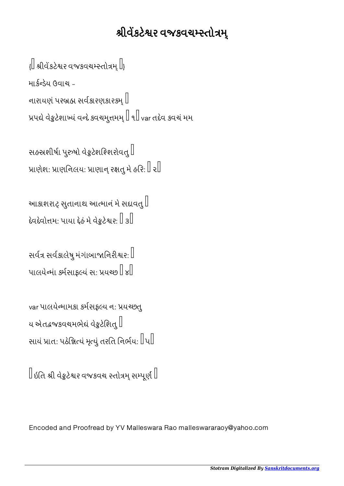## શ્રીવેંકટેશ્વર વજકવચમ્સ્તોત્રમ્

 $\left\{ \left\| \right. \right.$ શ્રીવેંકટેશ્વર વજકવચમ્સ્તોત્રમ્ $\left. \right\| _{\mathcal{H}}$ માર્કન્ડેય ઉવાચ -નારાયણં પરબ્રહ્મ સર્વકારણકારકમ્ $\mathbin\Vert$ પે વેટેશાયં વદે કવચમુમ ૧ var તદેવ કવચં મમ

સહસ્રશીર્ષા પુરુષો વેકુટેશશ્શિરોવતુ $\mathbb I$ પ્રાણેશ: પ્રાણનિલય: પ્રાણાન્ રક્ષતુ મે હરિ:  $\mathbb I$  ર $\mathbb I$ 

આકાશરાટ્ સુતાનાથ આત્માનં મે સદાવતુ $\mathord{\mathbb{I}}$ દેવદેવોત્તમ: પાયા દેહં મે વેકુટેશ્વર:  $\mathbb I$  ૩ $\mathbb I$ 

સર્વત્ર સર્વકાલેષુ મંગાંબાજાનિરીશ્વર:  $\mathbin\Vert$ પાલયેન્માં કર્મસાફલ્યં સ: પ્રયચ્છ $\mathbb I$   $\mathbb{I}$ 

var પાલયેન્મામકા કર્મસફલ્ય ન: પ્રયચ્છતુ ય એતદ્રજકવચમભેદ્યં વેકુટેશિતુ $\mathbb I$ સાયં પ્રાત: પઠેજ્ઞિત્યં મૃત્યું તરતિ નિર્ભય:  $\|$ ૫ $\|$ 

 $\parallel$ ઇતિ શ્રી વેક્રુટેશ્વર વજકવચ સ્તોત્રમ્ સમ્પૂર્ણ  $\parallel$ 

Encoded and Proofread by YV Malleswara Rao malleswararaoy@yahoo.com